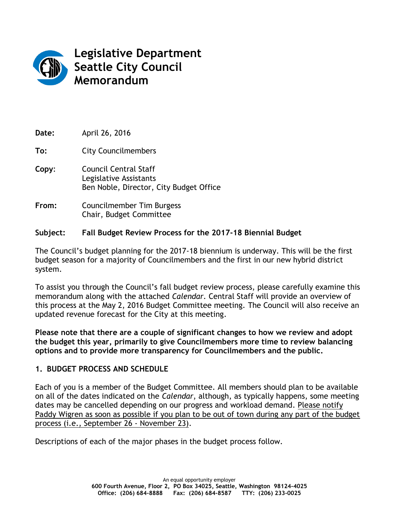

**Legislative Department Seattle City Council Memorandum**

**Date:** April 26, 2016 **To:** City Councilmembers **Copy**: Council Central Staff Legislative Assistants Ben Noble, Director, City Budget Office **From:** Councilmember Tim Burgess Chair, Budget Committee

## **Subject: Fall Budget Review Process for the 2017-18 Biennial Budget**

The Council's budget planning for the 2017-18 biennium is underway. This will be the first budget season for a majority of Councilmembers and the first in our new hybrid district system.

To assist you through the Council's fall budget review process, please carefully examine this memorandum along with the attached *Calendar.* Central Staff will provide an overview of this process at the May 2, 2016 Budget Committee meeting. The Council will also receive an updated revenue forecast for the City at this meeting.

**Please note that there are a couple of significant changes to how we review and adopt the budget this year, primarily to give Councilmembers more time to review balancing options and to provide more transparency for Councilmembers and the public.**

#### **1. BUDGET PROCESS AND SCHEDULE**

Each of you is a member of the Budget Committee. All members should plan to be available on all of the dates indicated on the *Calendar*, although, as typically happens, some meeting dates may be cancelled depending on our progress and workload demand. Please notify Paddy Wigren as soon as possible if you plan to be out of town during any part of the budget process (i.e., September 26 - November 23).

Descriptions of each of the major phases in the budget process follow.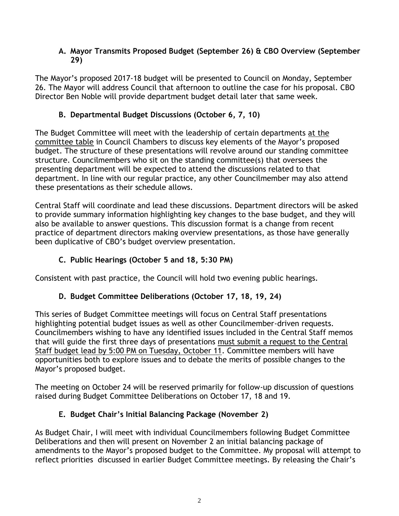#### **A. Mayor Transmits Proposed Budget (September 26) & CBO Overview (September 29)**

The Mayor's proposed 2017-18 budget will be presented to Council on Monday, September 26. The Mayor will address Council that afternoon to outline the case for his proposal. CBO Director Ben Noble will provide department budget detail later that same week.

# **B. Departmental Budget Discussions (October 6, 7, 10)**

The Budget Committee will meet with the leadership of certain departments at the committee table in Council Chambers to discuss key elements of the Mayor's proposed budget. The structure of these presentations will revolve around our standing committee structure. Councilmembers who sit on the standing committee(s) that oversees the presenting department will be expected to attend the discussions related to that department. In line with our regular practice, any other Councilmember may also attend these presentations as their schedule allows.

Central Staff will coordinate and lead these discussions. Department directors will be asked to provide summary information highlighting key changes to the base budget, and they will also be available to answer questions. This discussion format is a change from recent practice of department directors making overview presentations, as those have generally been duplicative of CBO's budget overview presentation.

# **C. Public Hearings (October 5 and 18, 5:30 PM)**

Consistent with past practice, the Council will hold two evening public hearings.

# **D. Budget Committee Deliberations (October 17, 18, 19, 24)**

This series of Budget Committee meetings will focus on Central Staff presentations highlighting potential budget issues as well as other Councilmember-driven requests. Councilmembers wishing to have any identified issues included in the Central Staff memos that will guide the first three days of presentations must submit a request to the Central Staff budget lead by 5:00 PM on Tuesday, October 11. Committee members will have opportunities both to explore issues and to debate the merits of possible changes to the Mayor's proposed budget.

The meeting on October 24 will be reserved primarily for follow-up discussion of questions raised during Budget Committee Deliberations on October 17, 18 and 19.

# **E. Budget Chair's Initial Balancing Package (November 2)**

As Budget Chair, I will meet with individual Councilmembers following Budget Committee Deliberations and then will present on November 2 an initial balancing package of amendments to the Mayor's proposed budget to the Committee. My proposal will attempt to reflect priorities discussed in earlier Budget Committee meetings. By releasing the Chair's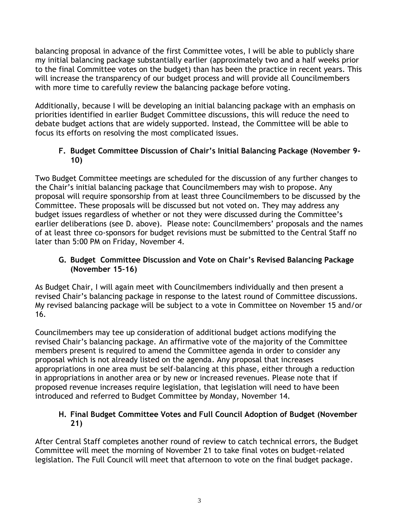balancing proposal in advance of the first Committee votes, I will be able to publicly share my initial balancing package substantially earlier (approximately two and a half weeks prior to the final Committee votes on the budget) than has been the practice in recent years. This will increase the transparency of our budget process and will provide all Councilmembers with more time to carefully review the balancing package before voting.

Additionally, because I will be developing an initial balancing package with an emphasis on priorities identified in earlier Budget Committee discussions, this will reduce the need to debate budget actions that are widely supported. Instead, the Committee will be able to focus its efforts on resolving the most complicated issues.

## **F. Budget Committee Discussion of Chair's Initial Balancing Package (November 9- 10)**

Two Budget Committee meetings are scheduled for the discussion of any further changes to the Chair's initial balancing package that Councilmembers may wish to propose. Any proposal will require sponsorship from at least three Councilmembers to be discussed by the Committee. These proposals will be discussed but not voted on. They may address any budget issues regardless of whether or not they were discussed during the Committee's earlier deliberations (see D. above). Please note: Councilmembers' proposals and the names of at least three co-sponsors for budget revisions must be submitted to the Central Staff no later than 5:00 PM on Friday, November 4.

## **G. Budget Committee Discussion and Vote on Chair's Revised Balancing Package (November 15–16)**

As Budget Chair, I will again meet with Councilmembers individually and then present a revised Chair's balancing package in response to the latest round of Committee discussions. My revised balancing package will be subject to a vote in Committee on November 15 and/or 16.

Councilmembers may tee up consideration of additional budget actions modifying the revised Chair's balancing package. An affirmative vote of the majority of the Committee members present is required to amend the Committee agenda in order to consider any proposal which is not already listed on the agenda. Any proposal that increases appropriations in one area must be self-balancing at this phase, either through a reduction in appropriations in another area or by new or increased revenues. Please note that if proposed revenue increases require legislation, that legislation will need to have been introduced and referred to Budget Committee by Monday, November 14.

## **H. Final Budget Committee Votes and Full Council Adoption of Budget (November 21)**

After Central Staff completes another round of review to catch technical errors, the Budget Committee will meet the morning of November 21 to take final votes on budget-related legislation. The Full Council will meet that afternoon to vote on the final budget package.